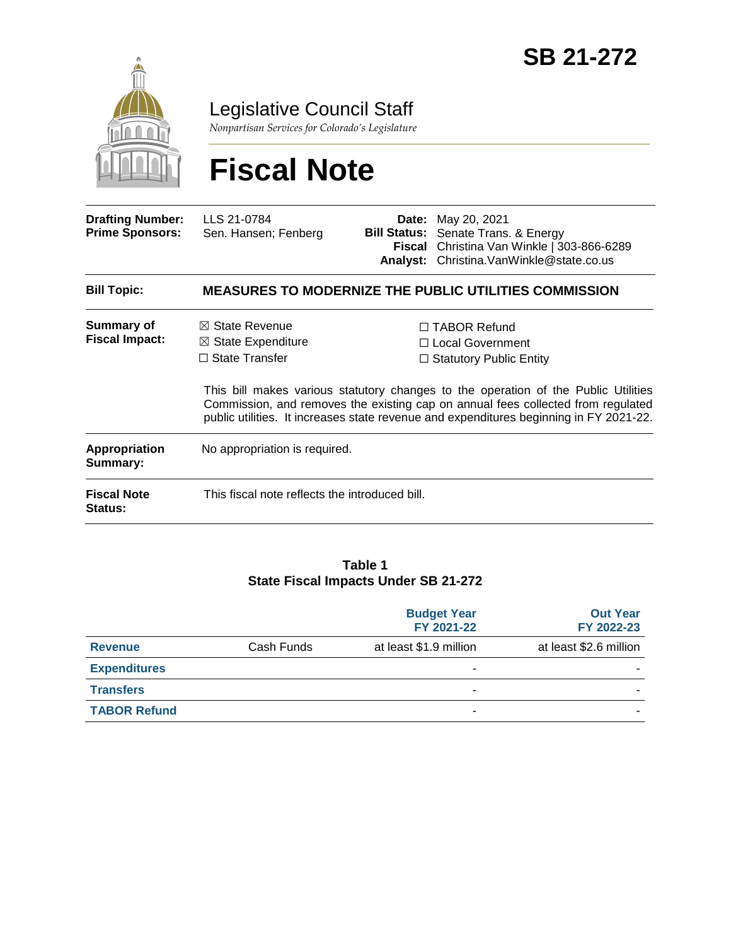

Legislative Council Staff

*Nonpartisan Services for Colorado's Legislature*

# **Fiscal Note**

| <b>Drafting Number:</b><br><b>Prime Sponsors:</b> | LLS 21-0784<br>Sen. Hansen; Fenberg                                                                                                                                                                                                                              | <b>Bill Status:</b> | <b>Date:</b> May 20, 2021<br>Senate Trans. & Energy<br>Fiscal Christina Van Winkle   303-866-6289<br>Analyst: Christina. Van Winkle@state.co.us |  |  |
|---------------------------------------------------|------------------------------------------------------------------------------------------------------------------------------------------------------------------------------------------------------------------------------------------------------------------|---------------------|-------------------------------------------------------------------------------------------------------------------------------------------------|--|--|
| <b>Bill Topic:</b>                                | <b>MEASURES TO MODERNIZE THE PUBLIC UTILITIES COMMISSION</b>                                                                                                                                                                                                     |                     |                                                                                                                                                 |  |  |
| Summary of<br><b>Fiscal Impact:</b>               | $\boxtimes$ State Revenue<br>$\boxtimes$ State Expenditure                                                                                                                                                                                                       |                     | $\Box$ TABOR Refund<br>$\Box$ Local Government                                                                                                  |  |  |
|                                                   | $\Box$ State Transfer                                                                                                                                                                                                                                            |                     | $\Box$ Statutory Public Entity                                                                                                                  |  |  |
|                                                   | This bill makes various statutory changes to the operation of the Public Utilities<br>Commission, and removes the existing cap on annual fees collected from regulated<br>public utilities. It increases state revenue and expenditures beginning in FY 2021-22. |                     |                                                                                                                                                 |  |  |
| <b>Appropriation</b><br>Summary:                  | No appropriation is required.                                                                                                                                                                                                                                    |                     |                                                                                                                                                 |  |  |
| <b>Fiscal Note</b><br><b>Status:</b>              | This fiscal note reflects the introduced bill.                                                                                                                                                                                                                   |                     |                                                                                                                                                 |  |  |

#### **Table 1 State Fiscal Impacts Under SB 21-272**

|                     |            | <b>Budget Year</b><br>FY 2021-22 | <b>Out Year</b><br>FY 2022-23 |
|---------------------|------------|----------------------------------|-------------------------------|
| <b>Revenue</b>      | Cash Funds | at least \$1.9 million           | at least \$2.6 million        |
| <b>Expenditures</b> |            |                                  |                               |
| <b>Transfers</b>    |            | -                                |                               |
| <b>TABOR Refund</b> |            | -                                |                               |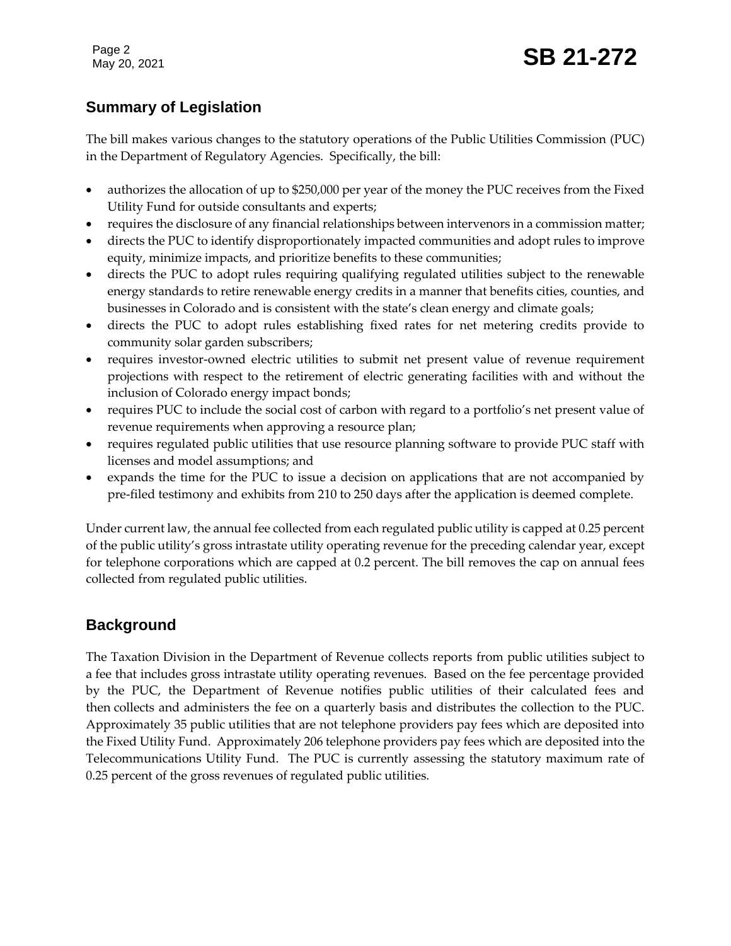Page 2

## **Summary of Legislation**

The bill makes various changes to the statutory operations of the Public Utilities Commission (PUC) in the Department of Regulatory Agencies. Specifically, the bill:

- authorizes the allocation of up to \$250,000 per year of the money the PUC receives from the Fixed Utility Fund for outside consultants and experts;
- requires the disclosure of any financial relationships between intervenors in a commission matter;
- directs the PUC to identify disproportionately impacted communities and adopt rules to improve equity, minimize impacts, and prioritize benefits to these communities;
- directs the PUC to adopt rules requiring qualifying regulated utilities subject to the renewable energy standards to retire renewable energy credits in a manner that benefits cities, counties, and businesses in Colorado and is consistent with the state's clean energy and climate goals;
- directs the PUC to adopt rules establishing fixed rates for net metering credits provide to community solar garden subscribers;
- requires investor-owned electric utilities to submit net present value of revenue requirement projections with respect to the retirement of electric generating facilities with and without the inclusion of Colorado energy impact bonds;
- requires PUC to include the social cost of carbon with regard to a portfolio's net present value of revenue requirements when approving a resource plan;
- requires regulated public utilities that use resource planning software to provide PUC staff with licenses and model assumptions; and
- expands the time for the PUC to issue a decision on applications that are not accompanied by pre-filed testimony and exhibits from 210 to 250 days after the application is deemed complete.

Under current law, the annual fee collected from each regulated public utility is capped at 0.25 percent of the public utility's gross intrastate utility operating revenue for the preceding calendar year, except for telephone corporations which are capped at 0.2 percent. The bill removes the cap on annual fees collected from regulated public utilities.

#### **Background**

The Taxation Division in the Department of Revenue collects reports from public utilities subject to a fee that includes gross intrastate utility operating revenues. Based on the fee percentage provided by the PUC, the Department of Revenue notifies public utilities of their calculated fees and then collects and administers the fee on a quarterly basis and distributes the collection to the PUC. Approximately 35 public utilities that are not telephone providers pay fees which are deposited into the Fixed Utility Fund. Approximately 206 telephone providers pay fees which are deposited into the Telecommunications Utility Fund. The PUC is currently assessing the statutory maximum rate of 0.25 percent of the gross revenues of regulated public utilities.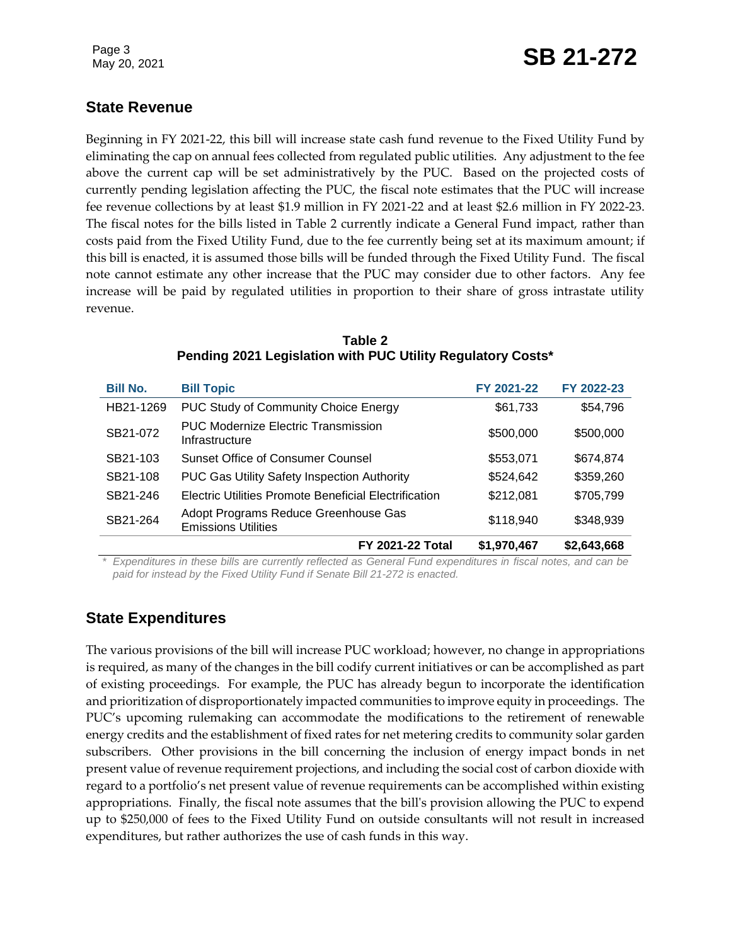### **State Revenue**

Beginning in FY 2021-22, this bill will increase state cash fund revenue to the Fixed Utility Fund by eliminating the cap on annual fees collected from regulated public utilities. Any adjustment to the fee above the current cap will be set administratively by the PUC. Based on the projected costs of currently pending legislation affecting the PUC, the fiscal note estimates that the PUC will increase fee revenue collections by at least \$1.9 million in FY 2021-22 and at least \$2.6 million in FY 2022-23. The fiscal notes for the bills listed in Table 2 currently indicate a General Fund impact, rather than costs paid from the Fixed Utility Fund, due to the fee currently being set at its maximum amount; if this bill is enacted, it is assumed those bills will be funded through the Fixed Utility Fund. The fiscal note cannot estimate any other increase that the PUC may consider due to other factors. Any fee increase will be paid by regulated utilities in proportion to their share of gross intrastate utility revenue.

| <b>Bill No.</b> | <b>Bill Topic</b>                                                  | FY 2021-22  | FY 2022-23  |
|-----------------|--------------------------------------------------------------------|-------------|-------------|
| HB21-1269       | <b>PUC Study of Community Choice Energy</b>                        | \$61,733    | \$54,796    |
| SB21-072        | <b>PUC Modernize Electric Transmission</b><br>Infrastructure       | \$500,000   | \$500,000   |
| SB21-103        | Sunset Office of Consumer Counsel                                  | \$553,071   | \$674,874   |
| SB21-108        | <b>PUC Gas Utility Safety Inspection Authority</b>                 | \$524,642   | \$359,260   |
| SB21-246        | Electric Utilities Promote Beneficial Electrification              | \$212,081   | \$705,799   |
| SB21-264        | Adopt Programs Reduce Greenhouse Gas<br><b>Emissions Utilities</b> | \$118,940   | \$348,939   |
|                 | <b>FY 2021-22 Total</b>                                            | \$1,970,467 | \$2,643,668 |

**Table 2 Pending 2021 Legislation with PUC Utility Regulatory Costs\***

*\* Expenditures in these bills are currently reflected as General Fund expenditures in fiscal notes, and can be paid for instead by the Fixed Utility Fund if Senate Bill 21-272 is enacted.*

#### **State Expenditures**

The various provisions of the bill will increase PUC workload; however, no change in appropriations is required, as many of the changes in the bill codify current initiatives or can be accomplished as part of existing proceedings. For example, the PUC has already begun to incorporate the identification and prioritization of disproportionately impacted communities to improve equity in proceedings. The PUC's upcoming rulemaking can accommodate the modifications to the retirement of renewable energy credits and the establishment of fixed rates for net metering credits to community solar garden subscribers. Other provisions in the bill concerning the inclusion of energy impact bonds in net present value of revenue requirement projections, and including the social cost of carbon dioxide with regard to a portfolio's net present value of revenue requirements can be accomplished within existing appropriations. Finally, the fiscal note assumes that the bill's provision allowing the PUC to expend up to \$250,000 of fees to the Fixed Utility Fund on outside consultants will not result in increased expenditures, but rather authorizes the use of cash funds in this way.